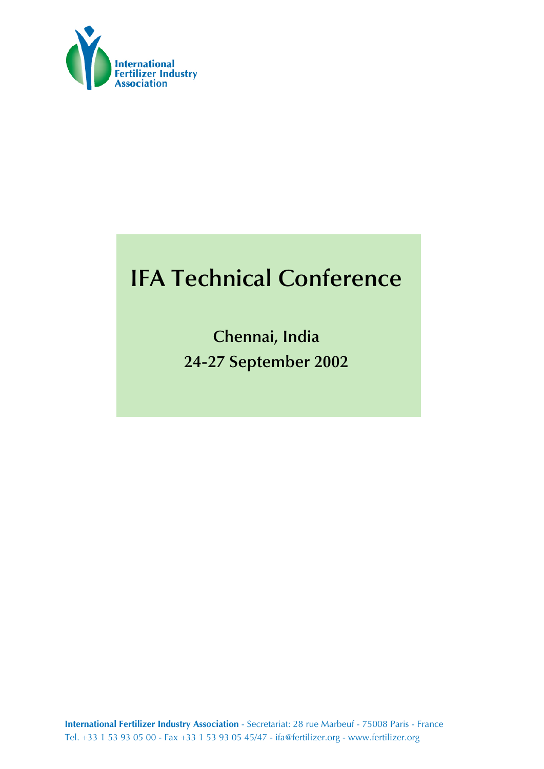

# **IFA Technical Conference**

**Chennai, India 24-27 September 2002**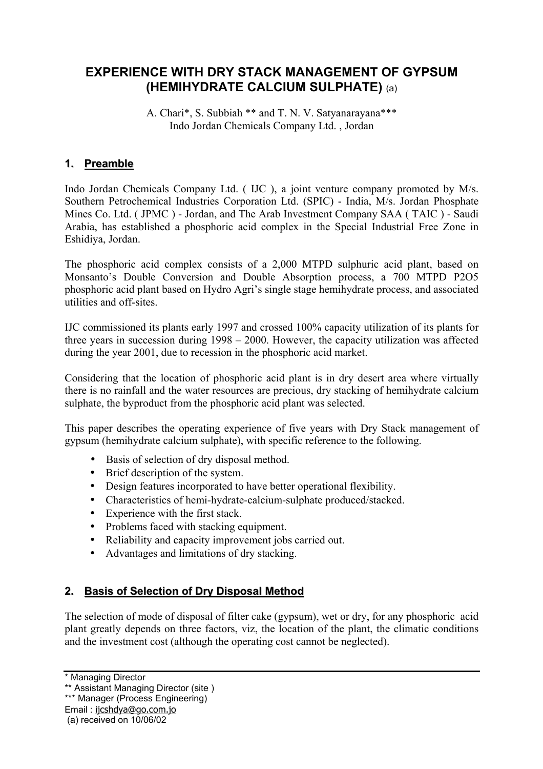# **EXPERIENCE WITH DRY STACK MANAGEMENT OF GYPSUM (HEMIHYDRATE CALCIUM SULPHATE)** (a)

A. Chari\*, S. Subbiah \*\* and T. N. V. Satyanarayana\*\*\* Indo Jordan Chemicals Company Ltd. , Jordan

## **1. Preamble**

Indo Jordan Chemicals Company Ltd. ( IJC ), a joint venture company promoted by M/s. Southern Petrochemical Industries Corporation Ltd. (SPIC) - India, M/s. Jordan Phosphate Mines Co. Ltd. ( JPMC ) - Jordan, and The Arab Investment Company SAA ( TAIC ) - Saudi Arabia, has established a phosphoric acid complex in the Special Industrial Free Zone in Eshidiya, Jordan.

The phosphoric acid complex consists of a 2,000 MTPD sulphuric acid plant, based on Monsanto's Double Conversion and Double Absorption process, a 700 MTPD P2O5 phosphoric acid plant based on Hydro Agri's single stage hemihydrate process, and associated utilities and off-sites.

IJC commissioned its plants early 1997 and crossed 100% capacity utilization of its plants for three years in succession during 1998 – 2000. However, the capacity utilization was affected during the year 2001, due to recession in the phosphoric acid market.

Considering that the location of phosphoric acid plant is in dry desert area where virtually there is no rainfall and the water resources are precious, dry stacking of hemihydrate calcium sulphate, the byproduct from the phosphoric acid plant was selected.

This paper describes the operating experience of five years with Dry Stack management of gypsum (hemihydrate calcium sulphate), with specific reference to the following.

- Basis of selection of dry disposal method.
- Brief description of the system.
- Design features incorporated to have better operational flexibility.
- Characteristics of hemi-hydrate-calcium-sulphate produced/stacked.
- Experience with the first stack.
- Problems faced with stacking equipment.
- Reliability and capacity improvement jobs carried out.
- Advantages and limitations of dry stacking.

## **2. Basis of Selection of Dry Disposal Method**

The selection of mode of disposal of filter cake (gypsum), wet or dry, for any phosphoric acid plant greatly depends on three factors, viz, the location of the plant, the climatic conditions and the investment cost (although the operating cost cannot be neglected).

<sup>\*</sup> Managing Director

<sup>\*\*</sup> Assistant Managing Director (site )

<sup>\*\*\*</sup> Manager (Process Engineering)

Email : ijcshdya@go.com.jo

 <sup>(</sup>a) received on 10/06/02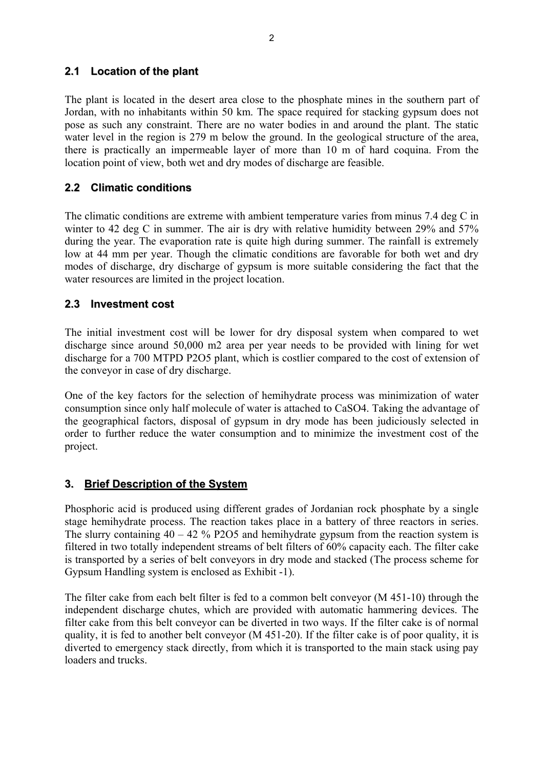#### **2.1 Location of the plant**

The plant is located in the desert area close to the phosphate mines in the southern part of Jordan, with no inhabitants within 50 km. The space required for stacking gypsum does not pose as such any constraint. There are no water bodies in and around the plant. The static water level in the region is 279 m below the ground. In the geological structure of the area, there is practically an impermeable layer of more than 10 m of hard coquina. From the location point of view, both wet and dry modes of discharge are feasible.

#### **2.2 Climatic conditions**

The climatic conditions are extreme with ambient temperature varies from minus 7.4 deg C in winter to 42 deg C in summer. The air is dry with relative humidity between 29% and 57% during the year. The evaporation rate is quite high during summer. The rainfall is extremely low at 44 mm per year. Though the climatic conditions are favorable for both wet and dry modes of discharge, dry discharge of gypsum is more suitable considering the fact that the water resources are limited in the project location.

#### **2.3 Investment cost**

The initial investment cost will be lower for dry disposal system when compared to wet discharge since around 50,000 m2 area per year needs to be provided with lining for wet discharge for a 700 MTPD P2O5 plant, which is costlier compared to the cost of extension of the conveyor in case of dry discharge.

One of the key factors for the selection of hemihydrate process was minimization of water consumption since only half molecule of water is attached to CaSO4. Taking the advantage of the geographical factors, disposal of gypsum in dry mode has been judiciously selected in order to further reduce the water consumption and to minimize the investment cost of the project.

## **3. Brief Description of the System**

Phosphoric acid is produced using different grades of Jordanian rock phosphate by a single stage hemihydrate process. The reaction takes place in a battery of three reactors in series. The slurry containing  $40 - 42$  % P2O5 and hemihydrate gypsum from the reaction system is filtered in two totally independent streams of belt filters of 60% capacity each. The filter cake is transported by a series of belt conveyors in dry mode and stacked (The process scheme for Gypsum Handling system is enclosed as Exhibit -1).

The filter cake from each belt filter is fed to a common belt conveyor (M 451-10) through the independent discharge chutes, which are provided with automatic hammering devices. The filter cake from this belt conveyor can be diverted in two ways. If the filter cake is of normal quality, it is fed to another belt conveyor (M 451-20). If the filter cake is of poor quality, it is diverted to emergency stack directly, from which it is transported to the main stack using pay loaders and trucks.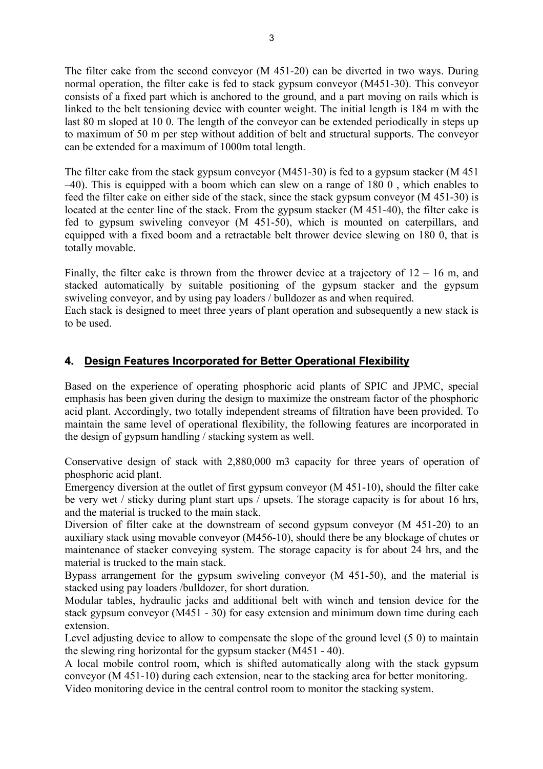The filter cake from the second conveyor (M 451-20) can be diverted in two ways. During normal operation, the filter cake is fed to stack gypsum conveyor (M451-30). This conveyor consists of a fixed part which is anchored to the ground, and a part moving on rails which is linked to the belt tensioning device with counter weight. The initial length is 184 m with the last 80 m sloped at 10 0. The length of the conveyor can be extended periodically in steps up to maximum of 50 m per step without addition of belt and structural supports. The conveyor can be extended for a maximum of 1000m total length.

The filter cake from the stack gypsum conveyor (M451-30) is fed to a gypsum stacker (M 451 –40). This is equipped with a boom which can slew on a range of 180 0 , which enables to feed the filter cake on either side of the stack, since the stack gypsum conveyor (M 451-30) is located at the center line of the stack. From the gypsum stacker (M 451-40), the filter cake is fed to gypsum swiveling conveyor (M 451-50), which is mounted on caterpillars, and equipped with a fixed boom and a retractable belt thrower device slewing on 180 0, that is totally movable.

Finally, the filter cake is thrown from the thrower device at a trajectory of  $12 - 16$  m, and stacked automatically by suitable positioning of the gypsum stacker and the gypsum swiveling conveyor, and by using pay loaders / bulldozer as and when required.

Each stack is designed to meet three years of plant operation and subsequently a new stack is to be used.

#### **4. Design Features Incorporated for Better Operational Flexibility**

Based on the experience of operating phosphoric acid plants of SPIC and JPMC, special emphasis has been given during the design to maximize the onstream factor of the phosphoric acid plant. Accordingly, two totally independent streams of filtration have been provided. To maintain the same level of operational flexibility, the following features are incorporated in the design of gypsum handling / stacking system as well.

Conservative design of stack with 2,880,000 m3 capacity for three years of operation of phosphoric acid plant.

Emergency diversion at the outlet of first gypsum conveyor (M 451-10), should the filter cake be very wet / sticky during plant start ups / upsets. The storage capacity is for about 16 hrs, and the material is trucked to the main stack.

Diversion of filter cake at the downstream of second gypsum conveyor (M 451-20) to an auxiliary stack using movable conveyor (M456-10), should there be any blockage of chutes or maintenance of stacker conveying system. The storage capacity is for about 24 hrs, and the material is trucked to the main stack.

Bypass arrangement for the gypsum swiveling conveyor (M 451-50), and the material is stacked using pay loaders /bulldozer, for short duration.

Modular tables, hydraulic jacks and additional belt with winch and tension device for the stack gypsum conveyor (M451 - 30) for easy extension and minimum down time during each extension.

Level adjusting device to allow to compensate the slope of the ground level (5 0) to maintain the slewing ring horizontal for the gypsum stacker (M451 - 40).

A local mobile control room, which is shifted automatically along with the stack gypsum conveyor (M 451-10) during each extension, near to the stacking area for better monitoring.

Video monitoring device in the central control room to monitor the stacking system.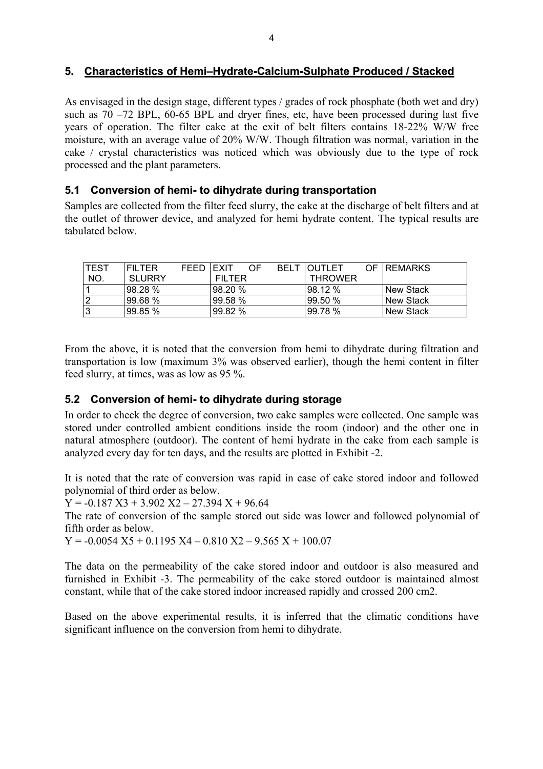#### **5. Characteristics of Hemi–Hydrate-Calcium-Sulphate Produced / Stacked**

As envisaged in the design stage, different types / grades of rock phosphate (both wet and dry) such as 70 –72 BPL, 60-65 BPL and dryer fines, etc, have been processed during last five years of operation. The filter cake at the exit of belt filters contains 18-22% W/W free moisture, with an average value of 20% W/W. Though filtration was normal, variation in the cake / crystal characteristics was noticed which was obviously due to the type of rock processed and the plant parameters.

#### **5.1 Conversion of hemi- to dihydrate during transportation**

Samples are collected from the filter feed slurry, the cake at the discharge of belt filters and at the outlet of thrower device, and analyzed for hemi hydrate content. The typical results are tabulated below.

| ITEST          | <b>FILTER</b> | <b>FFFD</b> | <b>IEXIT</b>  | OF. | BELT | <b>IOUTLET</b> | OF <b>REMARKS</b> |
|----------------|---------------|-------------|---------------|-----|------|----------------|-------------------|
| NO.            | SLURRY        |             | <b>FILTER</b> |     |      | <b>THROWER</b> |                   |
|                | 98.28 %       |             | 98.20%        |     |      | l98.12 %       | l New Stack       |
| $\overline{2}$ | 99.68%        |             | 99.58 %       |     |      | l99.50 %       | l New Stack       |
| Ι3             | 99.85 %       |             | 99.82%        |     |      | 99.78 %        | l New Stack       |

From the above, it is noted that the conversion from hemi to dihydrate during filtration and transportation is low (maximum 3% was observed earlier), though the hemi content in filter feed slurry, at times, was as low as 95 %.

#### **5.2 Conversion of hemi- to dihydrate during storage**

In order to check the degree of conversion, two cake samples were collected. One sample was stored under controlled ambient conditions inside the room (indoor) and the other one in natural atmosphere (outdoor). The content of hemi hydrate in the cake from each sample is analyzed every day for ten days, and the results are plotted in Exhibit -2.

It is noted that the rate of conversion was rapid in case of cake stored indoor and followed polynomial of third order as below.

 $Y = -0.187 X3 + 3.902 X2 - 27.394 X + 96.64$ 

The rate of conversion of the sample stored out side was lower and followed polynomial of fifth order as below.

 $Y = -0.0054$  X5 + 0.1195 X4 – 0.810 X2 – 9.565 X + 100.07

The data on the permeability of the cake stored indoor and outdoor is also measured and furnished in Exhibit -3. The permeability of the cake stored outdoor is maintained almost constant, while that of the cake stored indoor increased rapidly and crossed 200 cm2.

Based on the above experimental results, it is inferred that the climatic conditions have significant influence on the conversion from hemi to dihydrate.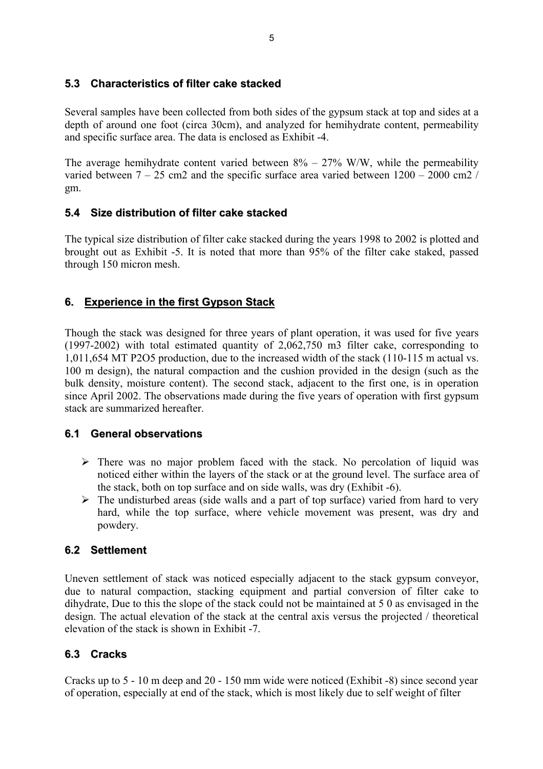## **5.3 Characteristics of filter cake stacked**

Several samples have been collected from both sides of the gypsum stack at top and sides at a depth of around one foot (circa 30cm), and analyzed for hemihydrate content, permeability and specific surface area. The data is enclosed as Exhibit -4.

The average hemihydrate content varied between  $8\% - 27\%$  W/W, while the permeability varied between  $7 - 25$  cm2 and the specific surface area varied between  $1200 - 2000$  cm2 / gm.

## **5.4 Size distribution of filter cake stacked**

The typical size distribution of filter cake stacked during the years 1998 to 2002 is plotted and brought out as Exhibit -5. It is noted that more than 95% of the filter cake staked, passed through 150 micron mesh.

# **6. Experience in the first Gypson Stack**

Though the stack was designed for three years of plant operation, it was used for five years (1997-2002) with total estimated quantity of 2,062,750 m3 filter cake, corresponding to 1,011,654 MT P2O5 production, due to the increased width of the stack (110-115 m actual vs. 100 m design), the natural compaction and the cushion provided in the design (such as the bulk density, moisture content). The second stack, adjacent to the first one, is in operation since April 2002. The observations made during the five years of operation with first gypsum stack are summarized hereafter.

## **6.1 General observations**

- $\triangleright$  There was no major problem faced with the stack. No percolation of liquid was noticed either within the layers of the stack or at the ground level. The surface area of the stack, both on top surface and on side walls, was dry (Exhibit -6).
- $\triangleright$  The undisturbed areas (side walls and a part of top surface) varied from hard to very hard, while the top surface, where vehicle movement was present, was dry and powdery.

# **6.2 Settlement**

Uneven settlement of stack was noticed especially adjacent to the stack gypsum conveyor, due to natural compaction, stacking equipment and partial conversion of filter cake to dihydrate, Due to this the slope of the stack could not be maintained at 5 0 as envisaged in the design. The actual elevation of the stack at the central axis versus the projected / theoretical elevation of the stack is shown in Exhibit -7.

# **6.3 Cracks**

Cracks up to 5 - 10 m deep and 20 - 150 mm wide were noticed (Exhibit -8) since second year of operation, especially at end of the stack, which is most likely due to self weight of filter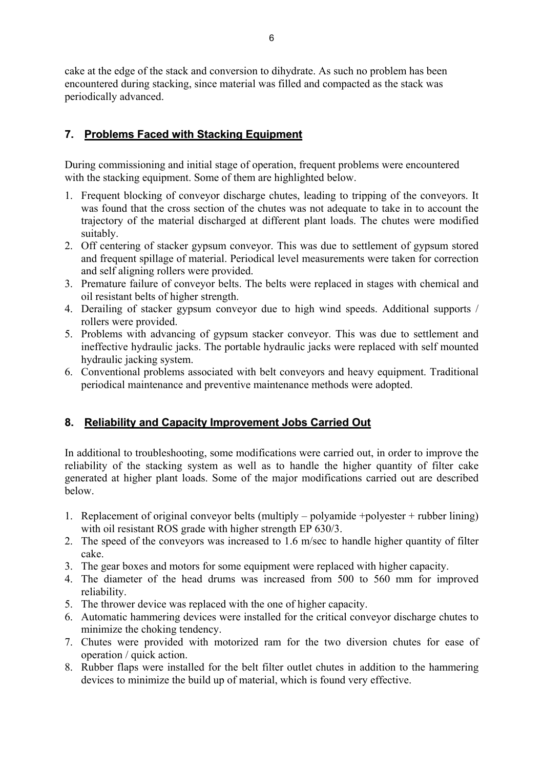cake at the edge of the stack and conversion to dihydrate. As such no problem has been encountered during stacking, since material was filled and compacted as the stack was periodically advanced.

## **7. Problems Faced with Stacking Equipment**

During commissioning and initial stage of operation, frequent problems were encountered with the stacking equipment. Some of them are highlighted below.

- 1. Frequent blocking of conveyor discharge chutes, leading to tripping of the conveyors. It was found that the cross section of the chutes was not adequate to take in to account the trajectory of the material discharged at different plant loads. The chutes were modified suitably.
- 2. Off centering of stacker gypsum conveyor. This was due to settlement of gypsum stored and frequent spillage of material. Periodical level measurements were taken for correction and self aligning rollers were provided.
- 3. Premature failure of conveyor belts. The belts were replaced in stages with chemical and oil resistant belts of higher strength.
- 4. Derailing of stacker gypsum conveyor due to high wind speeds. Additional supports / rollers were provided.
- 5. Problems with advancing of gypsum stacker conveyor. This was due to settlement and ineffective hydraulic jacks. The portable hydraulic jacks were replaced with self mounted hydraulic jacking system.
- 6. Conventional problems associated with belt conveyors and heavy equipment. Traditional periodical maintenance and preventive maintenance methods were adopted.

## **8. Reliability and Capacity Improvement Jobs Carried Out**

In additional to troubleshooting, some modifications were carried out, in order to improve the reliability of the stacking system as well as to handle the higher quantity of filter cake generated at higher plant loads. Some of the major modifications carried out are described below.

- 1. Replacement of original conveyor belts (multiply polyamide +polyester + rubber lining) with oil resistant ROS grade with higher strength EP 630/3.
- 2. The speed of the conveyors was increased to 1.6 m/sec to handle higher quantity of filter cake.
- 3. The gear boxes and motors for some equipment were replaced with higher capacity.
- 4. The diameter of the head drums was increased from 500 to 560 mm for improved reliability.
- 5. The thrower device was replaced with the one of higher capacity.
- 6. Automatic hammering devices were installed for the critical conveyor discharge chutes to minimize the choking tendency.
- 7. Chutes were provided with motorized ram for the two diversion chutes for ease of operation / quick action.
- 8. Rubber flaps were installed for the belt filter outlet chutes in addition to the hammering devices to minimize the build up of material, which is found very effective.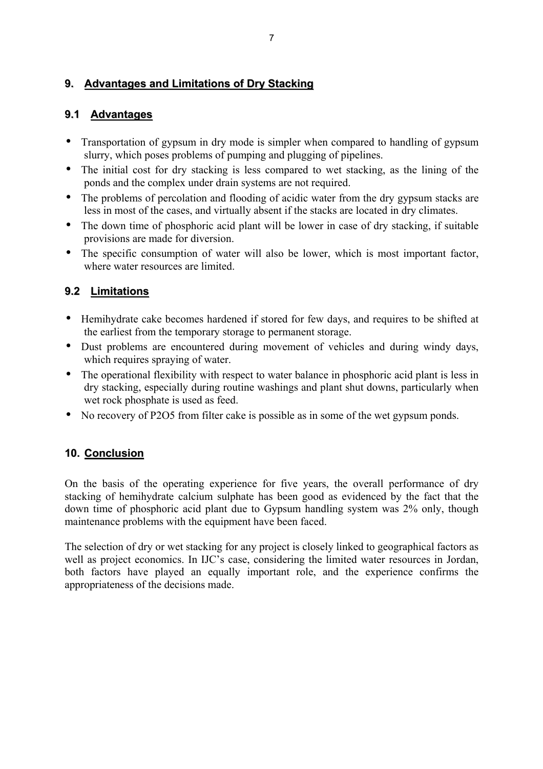## **9. Advantages and Limitations of Dry Stacking**

## **9.1 Advantages**

- Transportation of gypsum in dry mode is simpler when compared to handling of gypsum slurry, which poses problems of pumping and plugging of pipelines.
- The initial cost for dry stacking is less compared to wet stacking, as the lining of the ponds and the complex under drain systems are not required.
- The problems of percolation and flooding of acidic water from the dry gypsum stacks are less in most of the cases, and virtually absent if the stacks are located in dry climates.
- The down time of phosphoric acid plant will be lower in case of dry stacking, if suitable provisions are made for diversion.
- The specific consumption of water will also be lower, which is most important factor, where water resources are limited.

# **9.2 Limitations**

- Hemihydrate cake becomes hardened if stored for few days, and requires to be shifted at the earliest from the temporary storage to permanent storage.
- Dust problems are encountered during movement of vehicles and during windy days, which requires spraying of water.
- The operational flexibility with respect to water balance in phosphoric acid plant is less in dry stacking, especially during routine washings and plant shut downs, particularly when wet rock phosphate is used as feed.
- No recovery of P2O5 from filter cake is possible as in some of the wet gypsum ponds.

# **10. Conclusion**

On the basis of the operating experience for five years, the overall performance of dry stacking of hemihydrate calcium sulphate has been good as evidenced by the fact that the down time of phosphoric acid plant due to Gypsum handling system was 2% only, though maintenance problems with the equipment have been faced.

The selection of dry or wet stacking for any project is closely linked to geographical factors as well as project economics. In IJC's case, considering the limited water resources in Jordan, both factors have played an equally important role, and the experience confirms the appropriateness of the decisions made.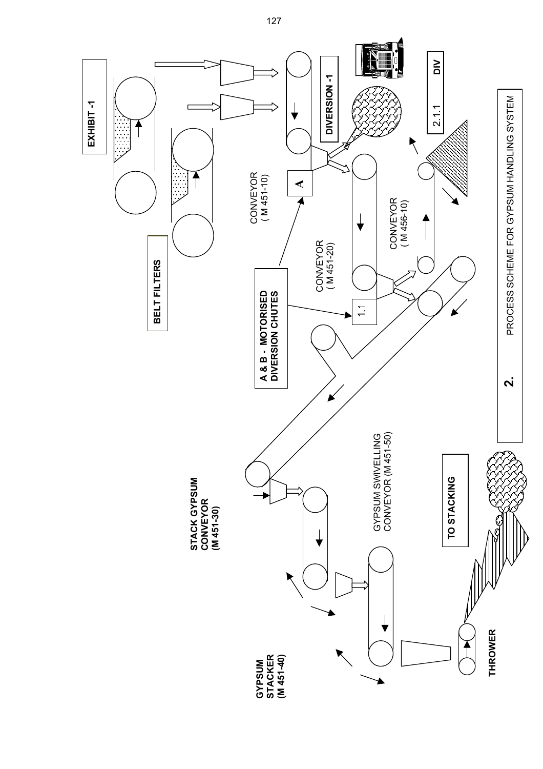

127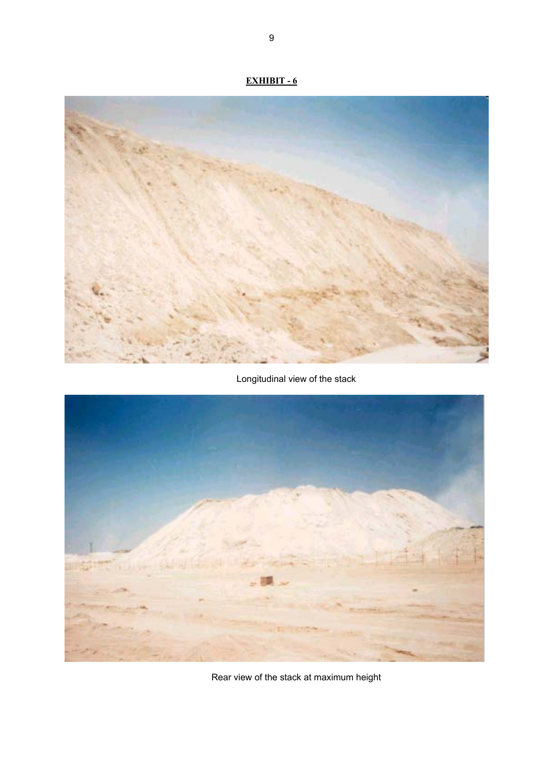

Longitudinal view of the stack



Rear view of the stack at maximum height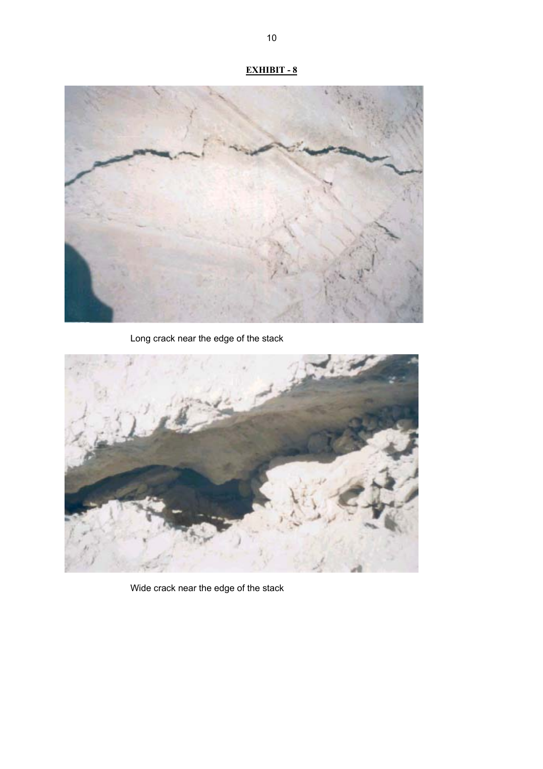# **EXHIBIT - 8**



Long crack near the edge of the stack



Wide crack near the edge of the stack